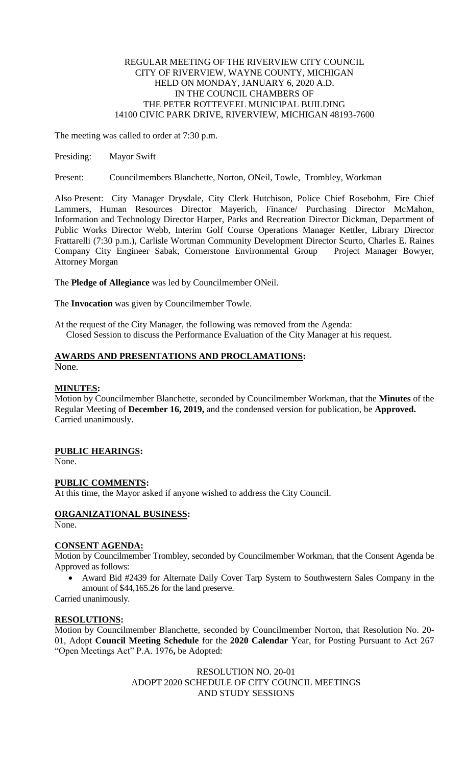### REGULAR MEETING OF THE RIVERVIEW CITY COUNCIL CITY OF RIVERVIEW, WAYNE COUNTY, MICHIGAN HELD ON MONDAY, JANUARY 6, 2020 A.D. IN THE COUNCIL CHAMBERS OF THE PETER ROTTEVEEL MUNICIPAL BUILDING 14100 CIVIC PARK DRIVE, RIVERVIEW, MICHIGAN 48193-7600

The meeting was called to order at 7:30 p.m.

Presiding: Mayor Swift

Present: Councilmembers Blanchette, Norton, ONeil, Towle, Trombley, Workman

Also Present: City Manager Drysdale, City Clerk Hutchison, Police Chief Rosebohm, Fire Chief Lammers, Human Resources Director Mayerich, Finance/ Purchasing Director McMahon, Information and Technology Director Harper, Parks and Recreation Director Dickman, Department of Public Works Director Webb, Interim Golf Course Operations Manager Kettler, Library Director Frattarelli (7:30 p.m.), Carlisle Wortman Community Development Director Scurto, Charles E. Raines Company City Engineer Sabak, Cornerstone Environmental Group Project Manager Bowyer, Attorney Morgan

The **Pledge of Allegiance** was led by Councilmember ONeil.

The **Invocation** was given by Councilmember Towle.

At the request of the City Manager, the following was removed from the Agenda: Closed Session to discuss the Performance Evaluation of the City Manager at his request.

#### **AWARDS AND PRESENTATIONS AND PROCLAMATIONS:** None.

#### **MINUTES:**

Motion by Councilmember Blanchette, seconded by Councilmember Workman, that the **Minutes** of the Regular Meeting of **December 16, 2019,** and the condensed version for publication, be **Approved.** Carried unanimously.

## **PUBLIC HEARINGS:**

None.

#### **PUBLIC COMMENTS:**

At this time, the Mayor asked if anyone wished to address the City Council.

## **ORGANIZATIONAL BUSINESS:**

None.

#### **CONSENT AGENDA:**

Motion by Councilmember Trombley, seconded by Councilmember Workman, that the Consent Agenda be Approved as follows:

 Award Bid #2439 for Alternate Daily Cover Tarp System to Southwestern Sales Company in the amount of \$44,165.26 for the land preserve.

Carried unanimously.

#### **RESOLUTIONS:**

Motion by Councilmember Blanchette, seconded by Councilmember Norton, that Resolution No. 20- 01, Adopt **Council Meeting Schedule** for the **2020 Calendar** Year, for Posting Pursuant to Act 267 "Open Meetings Act" P.A. 1976**,** be Adopted:

> RESOLUTION NO. 20-01 ADOPT 2020 SCHEDULE OF CITY COUNCIL MEETINGS AND STUDY SESSIONS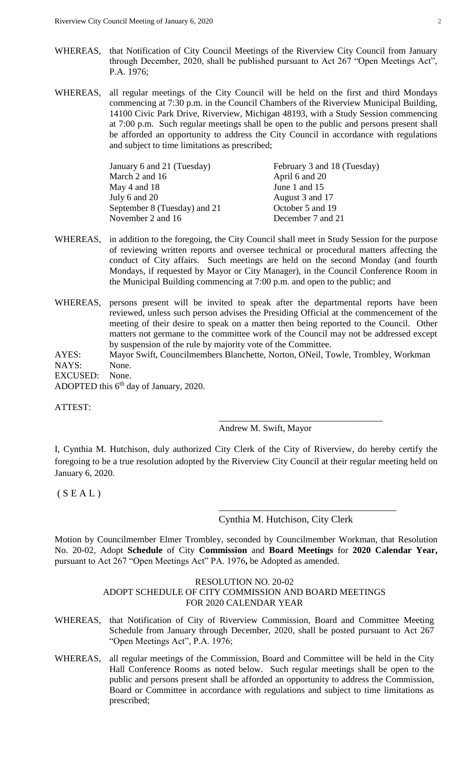- WHEREAS, that Notification of City Council Meetings of the Riverview City Council from January through December, 2020, shall be published pursuant to Act 267 "Open Meetings Act", P.A. 1976;
- WHEREAS, all regular meetings of the City Council will be held on the first and third Mondays commencing at 7:30 p.m. in the Council Chambers of the Riverview Municipal Building, 14100 Civic Park Drive, Riverview, Michigan 48193, with a Study Session commencing at 7:00 p.m. Such regular meetings shall be open to the public and persons present shall be afforded an opportunity to address the City Council in accordance with regulations and subject to time limitations as prescribed;

| January 6 and 21 (Tuesday)   | February 3 and 18 (Tuesday) |
|------------------------------|-----------------------------|
| March 2 and 16               | April 6 and 20              |
| May 4 and $18$               | June 1 and 15               |
| July 6 and 20                | August 3 and 17             |
| September 8 (Tuesday) and 21 | October 5 and 19            |
| November 2 and 16            | December 7 and 21           |

- WHEREAS, in addition to the foregoing, the City Council shall meet in Study Session for the purpose of reviewing written reports and oversee technical or procedural matters affecting the conduct of City affairs. Such meetings are held on the second Monday (and fourth Mondays, if requested by Mayor or City Manager), in the Council Conference Room in the Municipal Building commencing at 7:00 p.m. and open to the public; and
- WHEREAS, persons present will be invited to speak after the departmental reports have been reviewed, unless such person advises the Presiding Official at the commencement of the meeting of their desire to speak on a matter then being reported to the Council. Other matters not germane to the committee work of the Council may not be addressed except by suspension of the rule by majority vote of the Committee.
- AYES: Mayor Swift, Councilmembers Blanchette, Norton, ONeil, Towle, Trombley, Workman NAYS: None.

EXCUSED: None.

ADOPTED this 6<sup>th</sup> day of January, 2020.

ATTEST:

Andrew M. Swift, Mayor

I, Cynthia M. Hutchison, duly authorized City Clerk of the City of Riverview, do hereby certify the foregoing to be a true resolution adopted by the Riverview City Council at their regular meeting held on January 6, 2020.

 $(S E A L)$ 

Cynthia M. Hutchison, City Clerk

\_\_\_\_\_\_\_\_\_\_\_\_\_\_\_\_\_\_\_\_\_\_\_\_\_\_\_\_\_\_\_\_\_\_\_\_

\_\_\_\_\_\_\_\_\_\_\_\_\_\_\_\_\_\_\_\_\_\_\_\_\_\_\_\_\_\_\_\_\_\_\_\_

Motion by Councilmember Elmer Trombley, seconded by Councilmember Workman, that Resolution No. 20-02, Adopt **Schedule** of City **Commission** and **Board Meetings** for **2020 Calendar Year,**  pursuant to Act 267 "Open Meetings Act" PA. 1976**,** be Adopted as amended.

#### RESOLUTION NO. 20-02 ADOPT SCHEDULE OF CITY COMMISSION AND BOARD MEETINGS FOR 2020 CALENDAR YEAR

- WHEREAS, that Notification of City of Riverview Commission, Board and Committee Meeting Schedule from January through December, 2020, shall be posted pursuant to Act 267 "Open Meetings Act", P.A. 1976;
- WHEREAS, all regular meetings of the Commission, Board and Committee will be held in the City Hall Conference Rooms as noted below. Such regular meetings shall be open to the public and persons present shall be afforded an opportunity to address the Commission, Board or Committee in accordance with regulations and subject to time limitations as prescribed;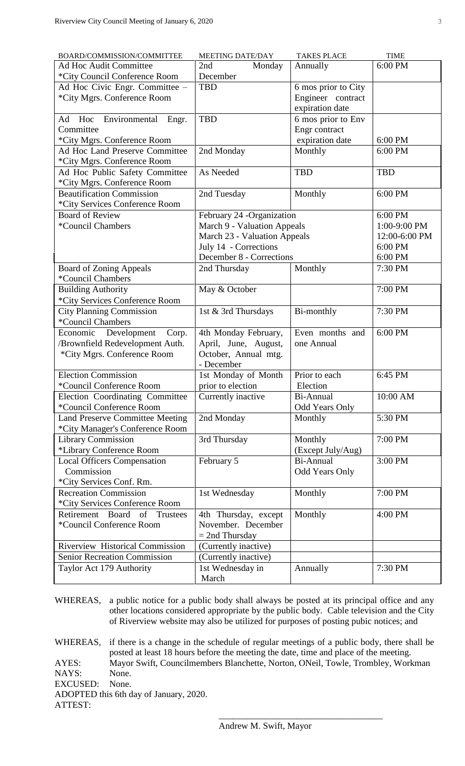| BOARD/COMMISSION/COMMITTEE                                      | <b>MEETING DATE/DAY</b>                                  | <b>TAKES PLACE</b>             | <b>TIME</b>   |
|-----------------------------------------------------------------|----------------------------------------------------------|--------------------------------|---------------|
| Ad Hoc Audit Committee                                          | 2nd<br>Monday                                            | Annually                       | 6:00 PM       |
| *City Council Conference Room                                   | December                                                 |                                |               |
| Ad Hoc Civic Engr. Committee -                                  | <b>TBD</b>                                               | 6 mos prior to City            |               |
| *City Mgrs. Conference Room                                     |                                                          | Engineer contract              |               |
|                                                                 |                                                          | expiration date                |               |
| Hoc Environmental<br>Engr.<br>Ad                                | <b>TBD</b>                                               | 6 mos prior to Env             |               |
| Committee                                                       |                                                          | Engr contract                  |               |
| *City Mgrs. Conference Room                                     |                                                          | expiration date                | 6:00 PM       |
| Ad Hoc Land Preserve Committee                                  | 2nd Monday                                               | Monthly                        | 6:00 PM       |
| *City Mgrs. Conference Room                                     |                                                          |                                |               |
| Ad Hoc Public Safety Committee                                  | As Needed                                                | <b>TBD</b>                     | <b>TBD</b>    |
| *City Mgrs. Conference Room<br><b>Beautification Commission</b> |                                                          |                                | 6:00 PM       |
| *City Services Conference Room                                  | 2nd Tuesday                                              | Monthly                        |               |
| <b>Board of Review</b>                                          | 6:00 PM                                                  |                                |               |
| *Council Chambers                                               | February 24 -Organization<br>March 9 - Valuation Appeals |                                | 1:00-9:00 PM  |
|                                                                 | March 23 - Valuation Appeals                             |                                | 12:00-6:00 PM |
|                                                                 | July 14 - Corrections                                    |                                | 6:00 PM       |
|                                                                 | December 8 - Corrections                                 |                                | 6:00 PM       |
| <b>Board of Zoning Appeals</b>                                  | 2nd Thursday                                             | Monthly                        | 7:30 PM       |
| *Council Chambers                                               |                                                          |                                |               |
| <b>Building Authority</b>                                       | May & October                                            |                                | 7:00 PM       |
| *City Services Conference Room                                  |                                                          |                                |               |
| <b>City Planning Commission</b>                                 | 1st & 3rd Thursdays                                      | Bi-monthly                     | 7:30 PM       |
| *Council Chambers                                               |                                                          |                                |               |
| Economic Development<br>Corp.                                   | 4th Monday February,                                     | Even months and                | 6:00 PM       |
| /Brownfield Redevelopment Auth.                                 | April, June, August,                                     | one Annual                     |               |
| *City Mgrs. Conference Room                                     | October, Annual mtg.                                     |                                |               |
|                                                                 | - December                                               |                                |               |
| <b>Election Commission</b>                                      | 1st Monday of Month                                      | Prior to each                  | 6:45 PM       |
| *Council Conference Room                                        | prior to election                                        | Election                       |               |
| Election Coordinating Committee                                 | Currently inactive                                       | Bi-Annual                      | 10:00 AM      |
| *Council Conference Room                                        |                                                          | Odd Years Only                 |               |
| <b>Land Preserve Committee Meeting</b>                          | 2nd Monday                                               | Monthly                        | 5:30 PM       |
| *City Manager's Conference Room                                 |                                                          |                                |               |
| <b>Library Commission</b>                                       | 3rd Thursday                                             | Monthly                        | 7:00 PM       |
| *Library Conference Room                                        |                                                          | (Except July/Aug)<br>Bi-Annual | 3:00 PM       |
| <b>Local Officers Compensation</b><br>Commission                | February 5                                               | <b>Odd Years Only</b>          |               |
| *City Services Conf. Rm.                                        |                                                          |                                |               |
| <b>Recreation Commission</b>                                    | 1st Wednesday                                            | Monthly                        | 7:00 PM       |
| *City Services Conference Room                                  |                                                          |                                |               |
| Board<br>of<br>Retirement<br>Trustees                           | 4th Thursday, except                                     | Monthly                        | 4:00 PM       |
| *Council Conference Room                                        | November. December                                       |                                |               |
|                                                                 | $= 2nd$ Thursday                                         |                                |               |
| <b>Riverview Historical Commission</b>                          | (Currently inactive)                                     |                                |               |
| <b>Senior Recreation Commission</b>                             | (Currently inactive)                                     |                                |               |
| Taylor Act 179 Authority                                        | 1st Wednesday in                                         | Annually                       | 7:30 PM       |
|                                                                 | March                                                    |                                |               |

WHEREAS, a public notice for a public body shall always be posted at its principal office and any other locations considered appropriate by the public body. Cable television and the City of Riverview website may also be utilized for purposes of posting pubic notices; and

WHEREAS, if there is a change in the schedule of regular meetings of a public body, there shall be posted at least 18 hours before the meeting the date, time and place of the meeting. AYES: Mayor Swift, Councilmembers Blanchette, Norton, ONeil, Towle, Trombley, Workman NAYS: None. EXCUSED: None. ADOPTED this 6th day of January, 2020. ATTEST:

\_\_\_\_\_\_\_\_\_\_\_\_\_\_\_\_\_\_\_\_\_\_\_\_\_\_\_\_\_\_\_\_\_\_\_\_